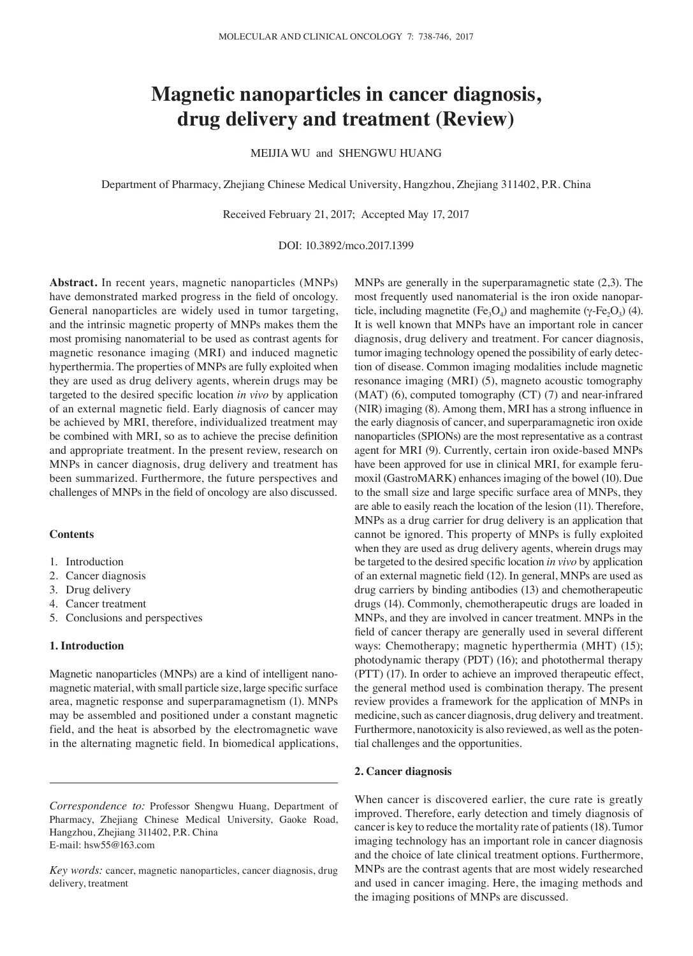# **Magnetic nanoparticles in cancer diagnosis, drug delivery and treatment (Review)**

MEIJIA WU and SHENGWU HUANG

Department of Pharmacy, Zhejiang Chinese Medical University, Hangzhou, Zhejiang 311402, P.R. China

Received February 21, 2017; Accepted May 17, 2017

DOI: 10.3892/mco.2017.1399

**Abstract.** In recent years, magnetic nanoparticles (MNPs) have demonstrated marked progress in the field of oncology. General nanoparticles are widely used in tumor targeting, and the intrinsic magnetic property of MNPs makes them the most promising nanomaterial to be used as contrast agents for magnetic resonance imaging (MRI) and induced magnetic hyperthermia. The properties of MNPs are fully exploited when they are used as drug delivery agents, wherein drugs may be targeted to the desired specific location *in vivo* by application of an external magnetic field. Early diagnosis of cancer may be achieved by MRI, therefore, individualized treatment may be combined with MRI, so as to achieve the precise definition and appropriate treatment. In the present review, research on MNPs in cancer diagnosis, drug delivery and treatment has been summarized. Furthermore, the future perspectives and challenges of MNPs in the field of oncology are also discussed.

## **Contents**

- 1. Introduction
- 2. Cancer diagnosis
- 3. Drug delivery
- 4. Cancer treatment
- 5. Conclusions and perspectives

## **1. Introduction**

Magnetic nanoparticles (MNPs) are a kind of intelligent nanomagnetic material, with small particle size, large specific surface area, magnetic response and superparamagnetism (1). MNPs may be assembled and positioned under a constant magnetic field, and the heat is absorbed by the electromagnetic wave in the alternating magnetic field. In biomedical applications, MNPs are generally in the superparamagnetic state (2,3). The most frequently used nanomaterial is the iron oxide nanoparticle, including magnetite (Fe<sub>3</sub>O<sub>4</sub>) and maghemite (γ-Fe<sub>2</sub>O<sub>3</sub>) (4). It is well known that MNPs have an important role in cancer diagnosis, drug delivery and treatment. For cancer diagnosis, tumor imaging technology opened the possibility of early detection of disease. Common imaging modalities include magnetic resonance imaging (MRI) (5), magneto acoustic tomography  $(MAT)$  (6), computed tomography  $(CT)$  (7) and near-infrared (NIR) imaging (8). Among them, MRI has a strong influence in the early diagnosis of cancer, and superparamagnetic iron oxide nanoparticles (SPIONs) are the most representative as a contrast agent for MRI (9). Currently, certain iron oxide-based MNPs have been approved for use in clinical MRI, for example ferumoxil (GastroMARK) enhances imaging of the bowel (10). Due to the small size and large specific surface area of MNPs, they are able to easily reach the location of the lesion (11). Therefore, MNPs as a drug carrier for drug delivery is an application that cannot be ignored. This property of MNPs is fully exploited when they are used as drug delivery agents, wherein drugs may be targeted to the desired specific location *in vivo* by application of an external magnetic field (12). In general, MNPs are used as drug carriers by binding antibodies (13) and chemotherapeutic drugs (14). Commonly, chemotherapeutic drugs are loaded in MNPs, and they are involved in cancer treatment. MNPs in the field of cancer therapy are generally used in several different ways: Chemotherapy; magnetic hyperthermia (MHT) (15); photodynamic therapy (PDT) (16); and photothermal therapy (PTT) (17). In order to achieve an improved therapeutic effect, the general method used is combination therapy. The present review provides a framework for the application of MNPs in medicine, such as cancer diagnosis, drug delivery and treatment. Furthermore, nanotoxicity is also reviewed, as well as the potential challenges and the opportunities.

### **2. Cancer diagnosis**

When cancer is discovered earlier, the cure rate is greatly improved. Therefore, early detection and timely diagnosis of cancer is key to reduce the mortality rate of patients(18). Tumor imaging technology has an important role in cancer diagnosis and the choice of late clinical treatment options. Furthermore, MNPs are the contrast agents that are most widely researched and used in cancer imaging. Here, the imaging methods and the imaging positions of MNPs are discussed.

*Correspondence to:* Professor Shengwu Huang, Department of Pharmacy, Zhejiang Chinese Medical University, Gaoke Road, Hangzhou, Zhejiang 311402, P.R. China E‑mail: hsw55@163.com

*Key words:* cancer, magnetic nanoparticles, cancer diagnosis, drug delivery, treatment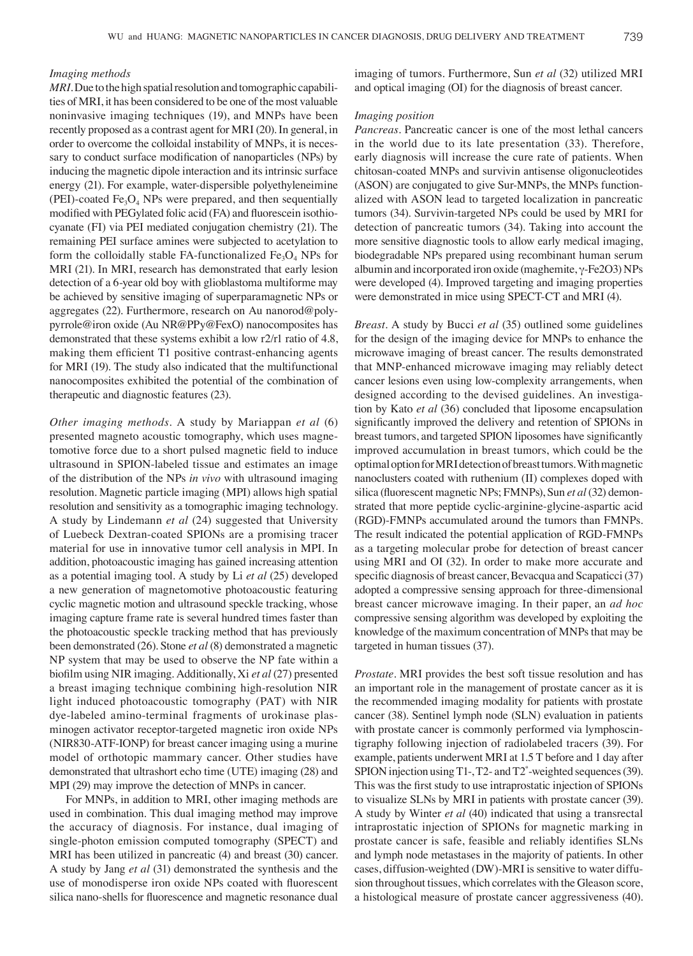#### *Imaging methods*

*MRI*. Due to the high spatial resolution and tomographic capabilities of MRI, it has been considered to be one of the most valuable noninvasive imaging techniques (19), and MNPs have been recently proposed as a contrast agent for MRI (20). In general, in order to overcome the colloidal instability of MNPs, it is necessary to conduct surface modification of nanoparticles (NPs) by inducing the magnetic dipole interaction and its intrinsic surface energy (21). For example, water-dispersible polyethyleneimine (PEI)-coated  $Fe<sub>3</sub>O<sub>4</sub>$  NPs were prepared, and then sequentially modified with PEGylated folic acid (FA) and fluorescein isothiocyanate (FI) via PEI mediated conjugation chemistry (21). The remaining PEI surface amines were subjected to acetylation to form the colloidally stable FA-functionalized  $Fe<sub>3</sub>O<sub>4</sub>$  NPs for MRI (21). In MRI, research has demonstrated that early lesion detection of a 6‑year old boy with glioblastoma multiforme may be achieved by sensitive imaging of superparamagnetic NPs or aggregates (22). Furthermore, research on Au nanorod@polypyrrole@iron oxide (Au NR@PPy@FexO) nanocomposites has demonstrated that these systems exhibit a low r2/r1 ratio of 4.8, making them efficient T1 positive contrast-enhancing agents for MRI (19). The study also indicated that the multifunctional nanocomposites exhibited the potential of the combination of therapeutic and diagnostic features (23).

*Other imaging methods.* A study by Mariappan *et al* (6) presented magneto acoustic tomography, which uses magnetomotive force due to a short pulsed magnetic field to induce ultrasound in SPION-labeled tissue and estimates an image of the distribution of the NPs *in vivo* with ultrasound imaging resolution. Magnetic particle imaging (MPI) allows high spatial resolution and sensitivity as a tomographic imaging technology. A study by Lindemann *et al* (24) suggested that University of Luebeck Dextran‑coated SPIONs are a promising tracer material for use in innovative tumor cell analysis in MPI. In addition, photoacoustic imaging has gained increasing attention as a potential imaging tool. A study by Li *et al* (25) developed a new generation of magnetomotive photoacoustic featuring cyclic magnetic motion and ultrasound speckle tracking, whose imaging capture frame rate is several hundred times faster than the photoacoustic speckle tracking method that has previously been demonstrated (26). Stone *et al* (8) demonstrated a magnetic NP system that may be used to observe the NP fate within a biofilm using NIR imaging. Additionally, Xi *et al* (27) presented a breast imaging technique combining high-resolution NIR light induced photoacoustic tomography (PAT) with NIR dye‑labeled amino‑terminal fragments of urokinase plasminogen activator receptor-targeted magnetic iron oxide NPs (NIR830‑ATF‑IONP) for breast cancer imaging using a murine model of orthotopic mammary cancer. Other studies have demonstrated that ultrashort echo time (UTE) imaging (28) and MPI (29) may improve the detection of MNPs in cancer.

For MNPs, in addition to MRI, other imaging methods are used in combination. This dual imaging method may improve the accuracy of diagnosis. For instance, dual imaging of single‑photon emission computed tomography (SPECT) and MRI has been utilized in pancreatic (4) and breast (30) cancer. A study by Jang *et al* (31) demonstrated the synthesis and the use of monodisperse iron oxide NPs coated with fluorescent silica nano‑shells for fluorescence and magnetic resonance dual imaging of tumors. Furthermore, Sun *et al* (32) utilized MRI and optical imaging (OI) for the diagnosis of breast cancer.

## *Imaging position*

*Pancreas.* Pancreatic cancer is one of the most lethal cancers in the world due to its late presentation (33). Therefore, early diagnosis will increase the cure rate of patients. When chitosan-coated MNPs and survivin antisense oligonucleotides (ASON) are conjugated to give Sur‑MNPs, the MNPs functionalized with ASON lead to targeted localization in pancreatic tumors (34). Survivin-targeted NPs could be used by MRI for detection of pancreatic tumors (34). Taking into account the more sensitive diagnostic tools to allow early medical imaging, biodegradable NPs prepared using recombinant human serum albumin and incorporated iron oxide (maghemite, γ‑Fe2O3) NPs were developed (4). Improved targeting and imaging properties were demonstrated in mice using SPECT‑CT and MRI (4).

*Breast.* A study by Bucci *et al* (35) outlined some guidelines for the design of the imaging device for MNPs to enhance the microwave imaging of breast cancer. The results demonstrated that MNP-enhanced microwave imaging may reliably detect cancer lesions even using low‑complexity arrangements, when designed according to the devised guidelines. An investigation by Kato *et al* (36) concluded that liposome encapsulation significantly improved the delivery and retention of SPIONs in breast tumors, and targeted SPION liposomes have significantly improved accumulation in breast tumors, which could be the optimal option for MRI detection of breast tumors. With magnetic nanoclusters coated with ruthenium (II) complexes doped with silica (fluorescent magnetic NPs; FMNPs), Sun *et al* (32) demonstrated that more peptide cyclic-arginine-glycine-aspartic acid (RGD)‑FMNPs accumulated around the tumors than FMNPs. The result indicated the potential application of RGD‑FMNPs as a targeting molecular probe for detection of breast cancer using MRI and OI (32). In order to make more accurate and specific diagnosis of breast cancer, Bevacqua and Scapaticci (37) adopted a compressive sensing approach for three-dimensional breast cancer microwave imaging. In their paper, an *ad hoc* compressive sensing algorithm was developed by exploiting the knowledge of the maximum concentration of MNPs that may be targeted in human tissues (37).

*Prostate.* MRI provides the best soft tissue resolution and has an important role in the management of prostate cancer as it is the recommended imaging modality for patients with prostate cancer (38). Sentinel lymph node (SLN) evaluation in patients with prostate cancer is commonly performed via lymphoscintigraphy following injection of radiolabeled tracers (39). For example, patients underwent MRI at 1.5 T before and 1 day after SPION injection using T1-, T2- and T2<sup>\*</sup>-weighted sequences (39). This was the first study to use intraprostatic injection of SPIONs to visualize SLNs by MRI in patients with prostate cancer (39). A study by Winter *et al* (40) indicated that using a transrectal intraprostatic injection of SPIONs for magnetic marking in prostate cancer is safe, feasible and reliably identifies SLNs and lymph node metastases in the majority of patients. In other cases, diffusion‑weighted (DW)‑MRI is sensitive to water diffusion throughout tissues, which correlates with the Gleason score, a histological measure of prostate cancer aggressiveness (40).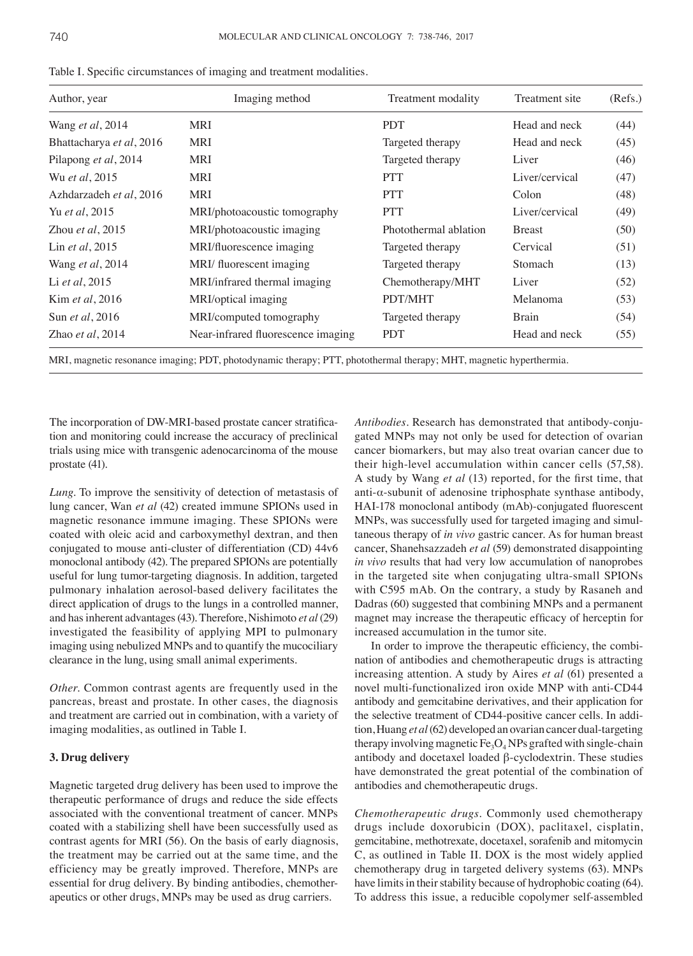| Author, year               | Imaging method                     | Treatment modality    | Treatment site | (Refs.)<br>(44) |
|----------------------------|------------------------------------|-----------------------|----------------|-----------------|
| Wang et al, 2014           | MRI                                | <b>PDT</b>            | Head and neck  |                 |
| Bhattacharya et al, 2016   | <b>MRI</b>                         | Targeted therapy      | Head and neck  | (45)            |
| Pilapong et al, 2014       | MRI                                | Targeted therapy      | Liver          | (46)            |
| Wu et al. 2015             | MRI                                | <b>PTT</b>            | Liver/cervical | (47)            |
| Azhdarzadeh et al, 2016    | MRI                                | <b>PTT</b>            | Colon          | (48)            |
| Yu et al, 2015             | MRI/photoacoustic tomography       | <b>PTT</b>            | Liver/cervical | (49)            |
| Zhou <i>et al</i> , $2015$ | MRI/photoacoustic imaging          | Photothermal ablation | <b>Breast</b>  | (50)            |
| Lin <i>et al</i> , 2015    | MRI/fluorescence imaging           | Targeted therapy      | Cervical       | (51)            |
| Wang et al, 2014           | MRI/ fluorescent imaging           | Targeted therapy      | <b>Stomach</b> | (13)            |
| Li et al, 2015             | MRI/infrared thermal imaging       | Chemotherapy/MHT      | Liver          | (52)            |
| Kim et al, 2016            | MRI/optical imaging                | PDT/MHT               | Melanoma       | (53)            |
| Sun <i>et al</i> , 2016    | MRI/computed tomography            | Targeted therapy      | <b>Brain</b>   | (54)            |
| Zhao <i>et al</i> , $2014$ | Near-infrared fluorescence imaging | <b>PDT</b>            | Head and neck  | (55)            |

Table I. Specific circumstances of imaging and treatment modalities.

MRI, magnetic resonance imaging; PDT, photodynamic therapy; PTT, photothermal therapy; MHT, magnetic hyperthermia.

The incorporation of DW-MRI-based prostate cancer stratification and monitoring could increase the accuracy of preclinical trials using mice with transgenic adenocarcinoma of the mouse prostate (41).

*Lung.* To improve the sensitivity of detection of metastasis of lung cancer, Wan *et al* (42) created immune SPIONs used in magnetic resonance immune imaging. These SPIONs were coated with oleic acid and carboxymethyl dextran, and then conjugated to mouse anti-cluster of differentiation (CD) 44v6 monoclonal antibody (42). The prepared SPIONs are potentially useful for lung tumor-targeting diagnosis. In addition, targeted pulmonary inhalation aerosol‑based delivery facilitates the direct application of drugs to the lungs in a controlled manner, and has inherent advantages(43). Therefore, Nishimoto *et al* (29) investigated the feasibility of applying MPI to pulmonary imaging using nebulized MNPs and to quantify the mucociliary clearance in the lung, using small animal experiments.

*Other.* Common contrast agents are frequently used in the pancreas, breast and prostate. In other cases, the diagnosis and treatment are carried out in combination, with a variety of imaging modalities, as outlined in Table I.

## **3. Drug delivery**

Magnetic targeted drug delivery has been used to improve the therapeutic performance of drugs and reduce the side effects associated with the conventional treatment of cancer. MNPs coated with a stabilizing shell have been successfully used as contrast agents for MRI (56). On the basis of early diagnosis, the treatment may be carried out at the same time, and the efficiency may be greatly improved. Therefore, MNPs are essential for drug delivery. By binding antibodies, chemotherapeutics or other drugs, MNPs may be used as drug carriers.

*Antibodies.* Research has demonstrated that antibody‑conjugated MNPs may not only be used for detection of ovarian cancer biomarkers, but may also treat ovarian cancer due to their high-level accumulation within cancer cells (57,58). A study by Wang *et al* (13) reported, for the first time, that anti- $\alpha$ -subunit of adenosine triphosphate synthase antibody, HAI-178 monoclonal antibody (mAb)-conjugated fluorescent MNPs, was successfully used for targeted imaging and simultaneous therapy of *in vivo* gastric cancer. As for human breast cancer, Shanehsazzadeh *et al* (59) demonstrated disappointing *in vivo* results that had very low accumulation of nanoprobes in the targeted site when conjugating ultra-small SPIONs with C595 mAb. On the contrary, a study by Rasaneh and Dadras (60) suggested that combining MNPs and a permanent magnet may increase the therapeutic efficacy of herceptin for increased accumulation in the tumor site.

In order to improve the therapeutic efficiency, the combination of antibodies and chemotherapeutic drugs is attracting increasing attention. A study by Aires *et al* (61) presented a novel multi-functionalized iron oxide MNP with anti-CD44 antibody and gemcitabine derivatives, and their application for the selective treatment of CD44‑positive cancer cells. In addition, Huang *et al*(62) developed an ovarian cancer dual-targeting therapy involving magnetic  $Fe<sub>3</sub>O<sub>4</sub>$  NPs grafted with single-chain antibody and docetaxel loaded β-cyclodextrin. These studies have demonstrated the great potential of the combination of antibodies and chemotherapeutic drugs.

*Chemotherapeutic drugs.* Commonly used chemotherapy drugs include doxorubicin (DOX), paclitaxel, cisplatin, gemcitabine, methotrexate, docetaxel, sorafenib and mitomycin C, as outlined in Table II. DOX is the most widely applied chemotherapy drug in targeted delivery systems (63). MNPs have limits in their stability because of hydrophobic coating (64). To address this issue, a reducible copolymer self‑assembled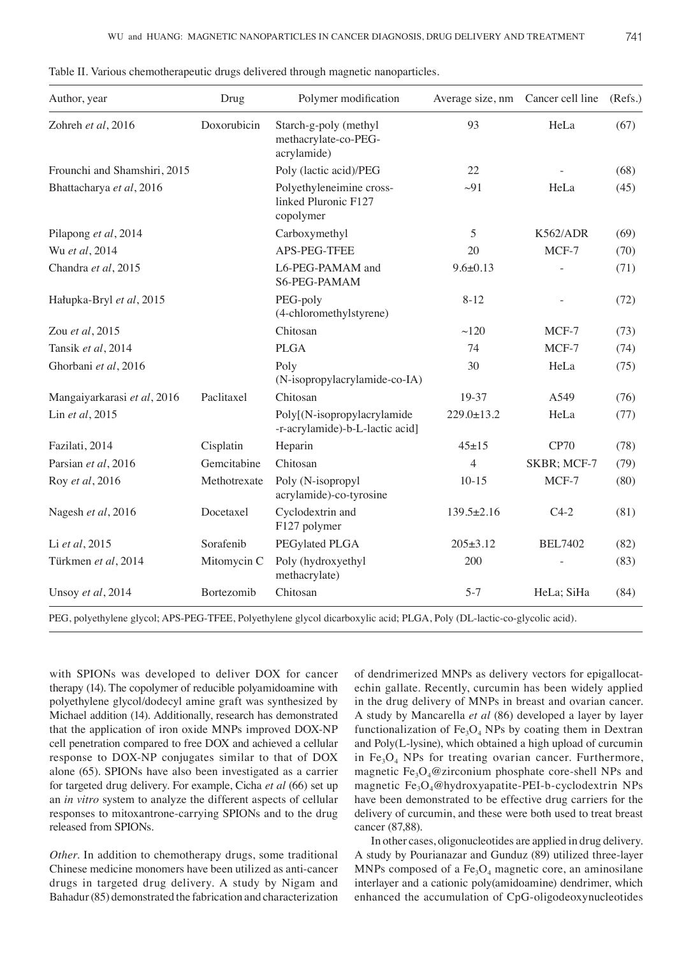| Author, year                 | Drug         | Polymer modification                                           | Average size, nm | Cancer cell line | (Refs.) |
|------------------------------|--------------|----------------------------------------------------------------|------------------|------------------|---------|
| Zohreh et al, 2016           | Doxorubicin  | Starch-g-poly (methyl<br>methacrylate-co-PEG-<br>acrylamide)   | 93               | HeLa             | (67)    |
| Frounchi and Shamshiri, 2015 |              | Poly (lactic acid)/PEG                                         | 22               |                  | (68)    |
| Bhattacharya et al, 2016     |              | Polyethyleneimine cross-<br>linked Pluronic F127<br>copolymer  | $\sim 91$        | HeLa             | (45)    |
| Pilapong et al, 2014         |              | Carboxymethyl                                                  | 5                | K562/ADR         | (69)    |
| Wu et al, 2014               |              | APS-PEG-TFEE                                                   | 20               | MCF-7            | (70)    |
| Chandra et al, 2015          |              | L6-PEG-PAMAM and<br>S6-PEG-PAMAM                               | $9.6 \pm 0.13$   |                  | (71)    |
| Hałupka-Bryl et al, 2015     |              | PEG-poly<br>(4-chloromethylstyrene)                            | $8 - 12$         |                  | (72)    |
| Zou et al, 2015              |              | Chitosan                                                       | ~120             | MCF-7            | (73)    |
| Tansik et al, 2014           |              | <b>PLGA</b>                                                    | 74               | MCF-7            | (74)    |
| Ghorbani et al, 2016         |              | Poly<br>(N-isopropylacrylamide-co-IA)                          | 30               | HeLa             | (75)    |
| Mangaiyarkarasi et al, 2016  | Paclitaxel   | Chitosan                                                       | 19-37            | A549             | (76)    |
| Lin et al, 2015              |              | Poly[(N-isopropylacrylamide<br>-r-acrylamide)-b-L-lactic acid] | $229.0 \pm 13.2$ | HeLa             | (77)    |
| Fazilati, 2014               | Cisplatin    | Heparin                                                        | $45 + 15$        | <b>CP70</b>      | (78)    |
| Parsian et al, 2016          | Gemcitabine  | Chitosan                                                       | $\overline{4}$   | SKBR; MCF-7      | (79)    |
| Roy et al, 2016              | Methotrexate | Poly (N-isopropyl<br>acrylamide)-co-tyrosine                   | $10-15$          | MCF-7            | (80)    |
| Nagesh et al, 2016           | Docetaxel    | Cyclodextrin and<br>F127 polymer                               | $139.5 \pm 2.16$ | $C4-2$           | (81)    |
| Li et al, 2015               | Sorafenib    | PEGylated PLGA                                                 | $205 \pm 3.12$   | <b>BEL7402</b>   | (82)    |
| Türkmen et al, 2014          | Mitomycin C  | Poly (hydroxyethyl<br>methacrylate)                            | 200              |                  | (83)    |
| Unsoy et al, 2014            | Bortezomib   | Chitosan                                                       | $5 - 7$          | HeLa; SiHa       | (84)    |

Table II. Various chemotherapeutic drugs delivered through magnetic nanoparticles.

PEG, polyethylene glycol; APS‑PEG‑TFEE, Polyethylene glycol dicarboxylic acid; PLGA, Poly (DL‑lactic‑co‑glycolic acid).

with SPIONs was developed to deliver DOX for cancer therapy (14). The copolymer of reducible polyamidoamine with polyethylene glycol/dodecyl amine graft was synthesized by Michael addition (14). Additionally, research has demonstrated that the application of iron oxide MNPs improved DOX‑NP cell penetration compared to free DOX and achieved a cellular response to DOX‑NP conjugates similar to that of DOX alone (65). SPIONs have also been investigated as a carrier for targeted drug delivery. For example, Cicha *et al* (66) set up an *in vitro* system to analyze the different aspects of cellular responses to mitoxantrone‑carrying SPIONs and to the drug released from SPIONs.

*Other.* In addition to chemotherapy drugs, some traditional Chinese medicine monomers have been utilized as anti‑cancer drugs in targeted drug delivery. A study by Nigam and Bahadur(85) demonstrated the fabrication and characterization of dendrimerized MNPs as delivery vectors for epigallocatechin gallate. Recently, curcumin has been widely applied in the drug delivery of MNPs in breast and ovarian cancer. A study by Mancarella *et al* (86) developed a layer by layer functionalization of  $Fe<sub>3</sub>O<sub>4</sub>$  NPs by coating them in Dextran and Poly(L‑lysine), which obtained a high upload of curcumin in  $Fe<sub>3</sub>O<sub>4</sub>$  NPs for treating ovarian cancer. Furthermore, magnetic  $Fe<sub>3</sub>O<sub>4</sub>@zirconium phosphate core-shell NPs and$ magnetic Fe<sub>3</sub>O<sub>4</sub>@hydroxyapatite-PEI-b-cyclodextrin NPs have been demonstrated to be effective drug carriers for the delivery of curcumin, and these were both used to treat breast cancer (87,88).

In other cases, oligonucleotides are applied in drug delivery. A study by Pourianazar and Gunduz (89) utilized three‑layer MNPs composed of a  $Fe<sub>3</sub>O<sub>4</sub>$  magnetic core, an aminosilane interlayer and a cationic poly(amidoamine) dendrimer, which enhanced the accumulation of CpG‑oligodeoxynucleotides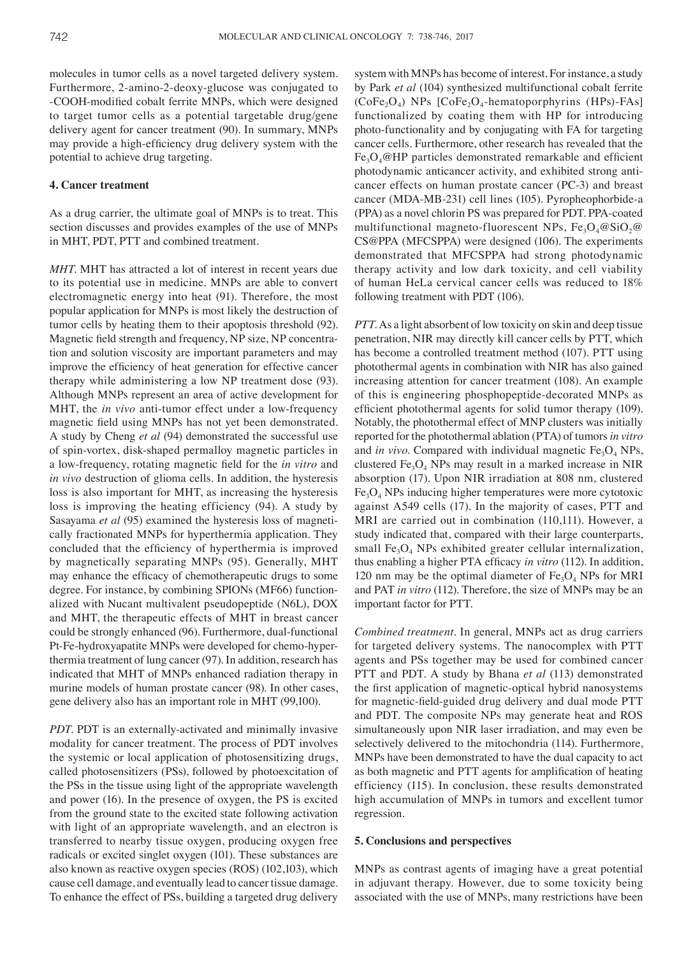molecules in tumor cells as a novel targeted delivery system. Furthermore, 2‑amino‑2‑deoxy‑glucose was conjugated to ‑COOH‑modified cobalt ferrite MNPs, which were designed to target tumor cells as a potential targetable drug/gene delivery agent for cancer treatment (90). In summary, MNPs may provide a high-efficiency drug delivery system with the potential to achieve drug targeting.

## **4. Cancer treatment**

As a drug carrier, the ultimate goal of MNPs is to treat. This section discusses and provides examples of the use of MNPs in MHT, PDT, PTT and combined treatment.

*MHT*. MHT has attracted a lot of interest in recent years due to its potential use in medicine. MNPs are able to convert electromagnetic energy into heat (91). Therefore, the most popular application for MNPs is most likely the destruction of tumor cells by heating them to their apoptosis threshold (92). Magnetic field strength and frequency, NP size, NP concentration and solution viscosity are important parameters and may improve the efficiency of heat generation for effective cancer therapy while administering a low NP treatment dose (93). Although MNPs represent an area of active development for MHT, the *in vivo* anti-tumor effect under a low-frequency magnetic field using MNPs has not yet been demonstrated. A study by Cheng *et al* (94) demonstrated the successful use of spin‑vortex, disk‑shaped permalloy magnetic particles in a low‑frequency, rotating magnetic field for the *in vitro* and *in vivo* destruction of glioma cells. In addition, the hysteresis loss is also important for MHT, as increasing the hysteresis loss is improving the heating efficiency (94). A study by Sasayama *et al* (95) examined the hysteresis loss of magnetically fractionated MNPs for hyperthermia application. They concluded that the efficiency of hyperthermia is improved by magnetically separating MNPs (95). Generally, MHT may enhance the efficacy of chemotherapeutic drugs to some degree. For instance, by combining SPIONs (MF66) functionalized with Nucant multivalent pseudopeptide (N6L), DOX and MHT, the therapeutic effects of MHT in breast cancer could be strongly enhanced (96). Furthermore, dual-functional Pt-Fe-hydroxyapatite MNPs were developed for chemo-hyperthermia treatment of lung cancer (97). In addition, research has indicated that MHT of MNPs enhanced radiation therapy in murine models of human prostate cancer (98). In other cases, gene delivery also has an important role in MHT (99,100).

*PDT*. PDT is an externally-activated and minimally invasive modality for cancer treatment. The process of PDT involves the systemic or local application of photosensitizing drugs, called photosensitizers (PSs), followed by photoexcitation of the PSs in the tissue using light of the appropriate wavelength and power (16). In the presence of oxygen, the PS is excited from the ground state to the excited state following activation with light of an appropriate wavelength, and an electron is transferred to nearby tissue oxygen, producing oxygen free radicals or excited singlet oxygen (101). These substances are also known as reactive oxygen species (ROS) (102,103), which cause cell damage, and eventually lead to cancer tissue damage. To enhance the effect of PSs, building a targeted drug delivery system with MNPs has become of interest. For instance, a study by Park *et al* (104) synthesized multifunctional cobalt ferrite  $(CoFe<sub>2</sub>O<sub>4</sub>)$  NPs  $[CoFe<sub>2</sub>O<sub>4</sub>$ -hematoporphyrins (HPs)-FAs] functionalized by coating them with HP for introducing photo‑functionality and by conjugating with FA for targeting cancer cells. Furthermore, other research has revealed that the  $Fe<sub>3</sub>O<sub>4</sub>@HP$  particles demonstrated remarkable and efficient photodynamic anticancer activity, and exhibited strong anticancer effects on human prostate cancer (PC‑3) and breast cancer (MDA-MB-231) cell lines (105). Pyropheophorbide‑a (PPA) as a novel chlorin PS was prepared for PDT. PPA‑coated multifunctional magneto-fluorescent NPs,  $Fe_3O_4@SiO_2@$ CS@PPA (MFCSPPA) were designed (106). The experiments demonstrated that MFCSPPA had strong photodynamic therapy activity and low dark toxicity, and cell viability of human HeLa cervical cancer cells was reduced to 18% following treatment with PDT (106).

*PTT.* As a light absorbent of low toxicity on skin and deep tissue penetration, NIR may directly kill cancer cells by PTT, which has become a controlled treatment method (107). PTT using photothermal agents in combination with NIR has also gained increasing attention for cancer treatment (108). An example of this is engineering phosphopeptide‑decorated MNPs as efficient photothermal agents for solid tumor therapy (109). Notably, the photothermal effect of MNP clusters was initially reported for the photothermal ablation (PTA) of tumors *in vitro* and *in vivo*. Compared with individual magnetic  $Fe<sub>3</sub>O<sub>4</sub>$  NPs, clustered  $Fe<sub>3</sub>O<sub>4</sub>$  NPs may result in a marked increase in NIR absorption (17). Upon NIR irradiation at 808 nm, clustered  $Fe<sub>3</sub>O<sub>4</sub>$  NPs inducing higher temperatures were more cytotoxic against A549 cells (17). In the majority of cases, PTT and MRI are carried out in combination (110,111). However, a study indicated that, compared with their large counterparts, small  $Fe<sub>3</sub>O<sub>4</sub>$  NPs exhibited greater cellular internalization, thus enabling a higher PTA efficacy *in vitro* (112). In addition, 120 nm may be the optimal diameter of  $Fe<sub>3</sub>O<sub>4</sub>$  NPs for MRI and PAT *in vitro* (112). Therefore, the size of MNPs may be an important factor for PTT.

*Combined treatment.* In general, MNPs act as drug carriers for targeted delivery systems. The nanocomplex with PTT agents and PSs together may be used for combined cancer PTT and PDT. A study by Bhana *et al* (113) demonstrated the first application of magnetic‑optical hybrid nanosystems for magnetic‑field‑guided drug delivery and dual mode PTT and PDT. The composite NPs may generate heat and ROS simultaneously upon NIR laser irradiation, and may even be selectively delivered to the mitochondria (114). Furthermore, MNPs have been demonstrated to have the dual capacity to act as both magnetic and PTT agents for amplification of heating efficiency (115). In conclusion, these results demonstrated high accumulation of MNPs in tumors and excellent tumor regression.

## **5. Conclusions and perspectives**

MNPs as contrast agents of imaging have a great potential in adjuvant therapy. However, due to some toxicity being associated with the use of MNPs, many restrictions have been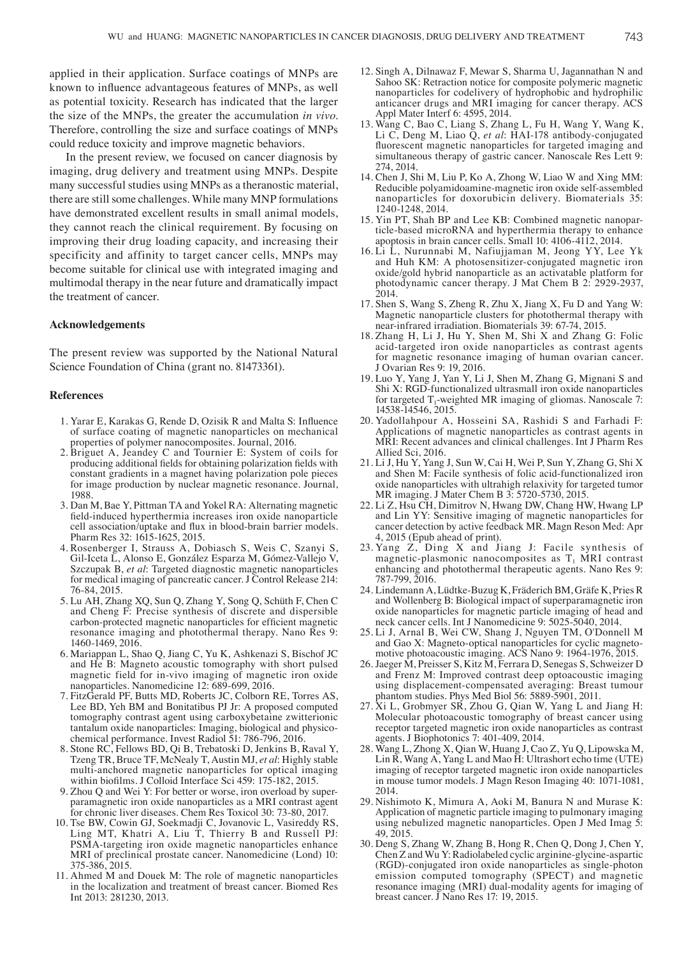applied in their application. Surface coatings of MNPs are known to influence advantageous features of MNPs, as well as potential toxicity. Research has indicated that the larger the size of the MNPs, the greater the accumulation *in vivo*. Therefore, controlling the size and surface coatings of MNPs could reduce toxicity and improve magnetic behaviors.

In the present review, we focused on cancer diagnosis by imaging, drug delivery and treatment using MNPs. Despite many successful studies using MNPs as a theranostic material, there are still some challenges. While many MNP formulations have demonstrated excellent results in small animal models, they cannot reach the clinical requirement. By focusing on improving their drug loading capacity, and increasing their specificity and affinity to target cancer cells, MNPs may become suitable for clinical use with integrated imaging and multimodal therapy in the near future and dramatically impact the treatment of cancer.

### **Acknowledgements**

The present review was supported by the National Natural Science Foundation of China (grant no. 81473361).

## **References**

- 1. Yarar E, Karakas G, Rende D, Ozisik R and Malta S: Influence of surface coating of magnetic nanoparticles on mechanical properties of polymer nanocomposites. Journal, 2016.
- 2. Briguet A, Jeandey C and Tournier E: System of coils for producing additional fields for obtaining polarization fields with constant gradients in a magnet having polarization pole pieces for image production by nuclear magnetic resonance. Journal, 1988.
- 3. Dan M, Bae Y, Pittman TA and Yokel RA: Alternating magnetic field-induced hyperthermia increases iron oxide nanoparticle cell association/uptake and flux in blood‑brain barrier models. Pharm Res 32: 1615-1625, 2015.
- 4. Rosenberger I, Strauss A, Dobiasch S, Weis C, Szanyi S, Gil‑Iceta L, Alonso E, González Esparza M, Gómez‑Vallejo V, Szczupak B, *et al*: Targeted diagnostic magnetic nanoparticles for medical imaging of pancreatic cancer. J Control Release 214: 76-84, 2015.
- 5. Lu AH, Zhang XQ, Sun Q, Zhang Y, Song Q, Schüth F, Chen C and Cheng F: Precise synthesis of discrete and dispersible carbon‑protected magnetic nanoparticles for efficient magnetic resonance imaging and photothermal therapy. Nano Res 9: 1460-1469, 2016.
- 6. Mariappan L, Shao Q, Jiang C, Yu K, Ashkenazi S, Bischof JC and He B: Magneto acoustic tomography with short pulsed magnetic field for in-vivo imaging of magnetic iron oxide nanoparticles. Nanomedicine 12: 689-699, 2016.
- 7. FitzGerald PF, Butts MD, Roberts JC, Colborn RE, Torres AS, Lee BD, Yeh BM and Bonitatibus PJ Jr: A proposed computed tomography contrast agent using carboxybetaine zwitterionic tantalum oxide nanoparticles: Imaging, biological and physicochemical performance. Invest Radiol 51: 786‑796, 2016.
- 8. Stone RC, Fellows BD, Qi B, Trebatoski D, Jenkins B, Raval Y, Tzeng TR, Bruce TF, McNealy T, Austin MJ, *et al*: Highly stable multi‑anchored magnetic nanoparticles for optical imaging within biofilms. J Colloid Interface Sci 459: 175-182, 2015.
- 9. Zhou Q and Wei Y: For better or worse, iron overload by superparamagnetic iron oxide nanoparticles as a MRI contrast agent for chronic liver diseases. Chem Res Toxicol 30: 73-80, 2017.
- 10. Tse BW, Cowin GJ, Soekmadji C, Jovanovic L, Vasireddy RS, Ling MT, Khatri A, Liu T, Thierry B and Russell PJ: PSMA-targeting iron oxide magnetic nanoparticles enhance MRI of preclinical prostate cancer. Nanomedicine (Lond) 10: 375-386, 2015.
- 11. Ahmed M and Douek M: The role of magnetic nanoparticles in the localization and treatment of breast cancer. Biomed Res Int 2013: 281230, 2013.
- 12. Singh A, Dilnawaz F, Mewar S, Sharma U, Jagannathan N and Sahoo SK: Retraction notice for composite polymeric magnetic nanoparticles for codelivery of hydrophobic and hydrophilic anticancer drugs and MRI imaging for cancer therapy. ACS Appl Mater Interf 6: 4595, 2014.
- 13. Wang C, Bao C, Liang S, Zhang L, Fu H, Wang Y, Wang K, Li C, Deng M, Liao Q, *et al*: HAI‑178 antibody‑conjugated fluorescent magnetic nanoparticles for targeted imaging and simultaneous therapy of gastric cancer. Nanoscale Res Lett 9: 274, 2014.
- 14. Chen J, Shi M, Liu P, Ko A, Zhong W, Liao W and Xing MM: Reducible polyamidoamine‑magnetic iron oxide self‑assembled nanoparticles for doxorubicin delivery. Biomaterials 35: 1240-1248, 2014.
- 15. Yin PT, Shah BP and Lee KB: Combined magnetic nanoparticle-based microRNA and hyperthermia therapy to enhance apoptosis in brain cancer cells. Small 10: 4106‑4112, 2014.
- 16. Li L, Nurunnabi M, Nafiujjaman M, Jeong YY, Lee Yk and Huh KM: A photosensitizer‑conjugated magnetic iron oxide/gold hybrid nanoparticle as an activatable platform for photodynamic cancer therapy. J Mat Chem B 2: 2929‑2937, 2014.
- 17. Shen S, Wang S, Zheng R, Zhu X, Jiang X, Fu D and Yang W: Magnetic nanoparticle clusters for photothermal therapy with near‑infrared irradiation. Biomaterials 39: 67-74, 2015.
- 18. Zhang H, Li J, Hu Y, Shen M, Shi X and Zhang G: Folic acid‑targeted iron oxide nanoparticles as contrast agents for magnetic resonance imaging of human ovarian cancer. J Ovarian Res 9: 19, 2016.
- 19. Luo Y, Yang J, Yan Y, Li J, Shen M, Zhang G, Mignani S and Shi X: RGD‑functionalized ultrasmall iron oxide nanoparticles for targeted  $T_1$ -weighted MR imaging of gliomas. Nanoscale 7: 14538-14546, 2015.
- 20. Yadollahpour A, Hosseini SA, Rashidi S and Farhadi F: Applications of magnetic nanoparticles as contrast agents in MRI: Recent advances and clinical challenges. Int J Pharm Res Allied Sci, 2016.
- 21. Li J, Hu Y, Yang J, Sun W, Cai H, Wei P, Sun Y, Zhang G, Shi X and Shen M: Facile synthesis of folic acid-functionalized iron oxide nanoparticles with ultrahigh relaxivity for targeted tumor MR imaging. J Mater Chem B 3: 5720-5730, 2015.
- 22. Li Z, Hsu CH, Dimitrov N, Hwang DW, Chang HW, Hwang LP and Lin YY: Sensitive imaging of magnetic nanoparticles for cancer detection by active feedback MR. Magn Reson Med: Apr 4, 2015 (Epub ahead of print).
- 23. Yang Z, Ding X and Jiang J: Facile synthesis of magnetic-plasmonic nanocomposites as  $T_1$  MRI contrast enhancing and photothermal therapeutic agents. Nano Res 9: 787-799, 2016.
- 24. Lindemann A, Lüdtke‑Buzug K, Fräderich BM, Gräfe K, Pries R and Wollenberg B: Biological impact of superparamagnetic iron oxide nanoparticles for magnetic particle imaging of head and neck cancer cells. Int J Nanomedicine 9: 5025-5040, 2014.
- 25. Li J, Arnal B, Wei CW, Shang J, Nguyen TM, O'Donnell M and Gao X: Magneto‑optical nanoparticles for cyclic magnetomotive photoacoustic imaging. ACS Nano 9: 1964-1976, 2015.
- 26. Jaeger M, Preisser S, Kitz M, Ferrara D, Senegas S, Schweizer D and Frenz M: Improved contrast deep optoacoustic imaging using displacement-compensated averaging: Breast tumour phantom studies. Phys Med Biol 56: 5889-5901, 2011.
- 27. Xi L, Grobmyer SR, Zhou G, Qian W, Yang L and Jiang H: Molecular photoacoustic tomography of breast cancer using receptor targeted magnetic iron oxide nanoparticles as contrast agents. J Biophotonics 7: 401-409, 2014.
- 28. Wang L, Zhong X, Qian W, Huang J, Cao Z, Yu Q, Lipowska M, Lin R, Wang A, Yang L and Mao H: Ultrashort echo time (UTE) imaging of receptor targeted magnetic iron oxide nanoparticles in mouse tumor models. J Magn Reson Imaging 40: 1071-1081, 2014.
- 29. Nishimoto K, Mimura A, Aoki M, Banura N and Murase K: Application of magnetic particle imaging to pulmonary imaging using nebulized magnetic nanoparticles. Open J Med Imag 5: 49, 2015.
- 30. Deng S, Zhang W, Zhang B, Hong R, Chen Q, Dong J, Chen Y, Chen Z and Wu Y: Radiolabeled cyclic arginine-glycine-aspartic (RGD)‑conjugated iron oxide nanoparticles as single‑photon emission computed tomography (SPECT) and magnetic resonance imaging (MRI) dual-modality agents for imaging of breast cancer. J Nano Res 17: 19, 2015.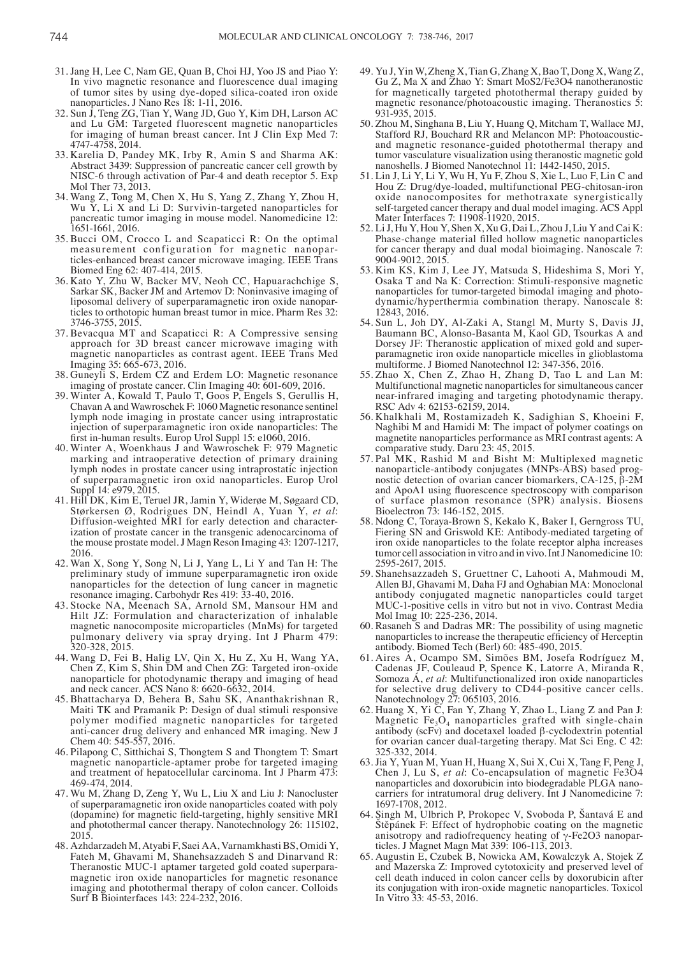- 31. Jang H, Lee C, Nam GE, Quan B, Choi HJ, Yoo JS and Piao Y: In vivo magnetic resonance and fluorescence dual imaging of tumor sites by using dye‑doped silica‑coated iron oxide nanoparticles. J Nano Res 18: 1-11, 2016.
- 32. Sun J, Teng ZG, Tian Y, Wang JD, Guo Y, Kim DH, Larson AC and Lu GM: Targeted fluorescent magnetic nanoparticles for imaging of human breast cancer. Int J Clin Exp Med 7: 4747-4758, 2014.
- 33. Karelia D, Pandey MK, Irby R, Amin S and Sharma AK: Abstract 3439: Suppression of pancreatic cancer cell growth by NISC‑6 through activation of Par‑4 and death receptor 5. Exp Mol Ther 73, 2013.
- 34. Wang Z, Tong M, Chen X, Hu S, Yang Z, Zhang Y, Zhou H, Wu Y, Li X and Li D: Survivin-targeted nanoparticles for pancreatic tumor imaging in mouse model. Nanomedicine 12: 1651-1661, 2016.
- 35. Bucci OM, Crocco L and Scapaticci R: On the optimal measurement configuration for magnetic nanoparticles‑enhanced breast cancer microwave imaging. IEEE Trans Biomed Eng 62: 407-414, 2015.
- 36. Kato Y, Zhu W, Backer MV, Neoh CC, Hapuarachchige S, Sarkar SK, Backer JM and Artemov D: Noninvasive imaging of liposomal delivery of superparamagnetic iron oxide nanoparticles to orthotopic human breast tumor in mice. Pharm Res 32: 3746-3755, 2015.
- 37. Bevacqua MT and Scapaticci R: A Compressive sensing approach for 3D breast cancer microwave imaging with magnetic nanoparticles as contrast agent. IEEE Trans Med Imaging 35: 665-673, 2016.
- 38. Guneyli S, Erdem CZ and Erdem LO: Magnetic resonance imaging of prostate cancer. Clin Imaging 40: 601-609, 2016.
- 39. Winter A, Kowald T, Paulo T, Goos P, Engels S, Gerullis H, Chavan A and Wawroschek F: 1060 Magnetic resonance sentinel lymph node imaging in prostate cancer using intraprostatic injection of superparamagnetic iron oxide nanoparticles: The first in‑human results. Europ Urol Suppl 15: e1060, 2016.
- 40. Winter A, Woenkhaus J and Wawroschek F: 979 Magnetic marking and intraoperative detection of primary draining lymph nodes in prostate cancer using intraprostatic injection of superparamagnetic iron oxid nanoparticles. Europ Urol Suppl 14: e979, 2015.
- 41. Hill DK, Kim E, Teruel JR, Jamin Y, Widerøe M, Søgaard CD, Størkersen Ø, Rodrigues DN, Heindl A, Yuan Y, *et al*: Diffusion‑weighted MRI for early detection and characterization of prostate cancer in the transgenic adenocarcinoma of the mouse prostate model. J Magn Reson Imaging 43: 1207-1217, 2016.
- 42. Wan X, Song Y, Song N, Li J, Yang L, Li Y and Tan H: The preliminary study of immune superparamagnetic iron oxide nanoparticles for the detection of lung cancer in magnetic resonance imaging. Carbohydr Res 419: 33-40, 2016.
- 43. Stocke NA, Meenach SA, Arnold SM, Mansour HM and Hilt JZ: Formulation and characterization of inhalable magnetic nanocomposite microparticles (MnMs) for targeted pulmonary delivery via spray drying. Int J Pharm 479: 320-328, 2015.
- 44. Wang D, Fei B, Halig LV, Qin X, Hu Z, Xu H, Wang YA, Chen Z, Kim S, Shin DM and Chen ZG: Targeted iron‑oxide nanoparticle for photodynamic therapy and imaging of head and neck cancer. ACS Nano 8: 6620-6632, 2014.
- 45. Bhattacharya D, Behera B, Sahu SK, Ananthakrishnan R, Maiti TK and Pramanik P: Design of dual stimuli responsive polymer modified magnetic nanoparticles for targeted anti-cancer drug delivery and enhanced MR imaging. New J Chem 40: 545‑557, 2016.
- 46. Pilapong C, Sitthichai S, Thongtem S and Thongtem T: Smart magnetic nanoparticle‑aptamer probe for targeted imaging and treatment of hepatocellular carcinoma. Int J Pharm 473:
- 47. Wu M, Zhang D, Zeng Y, Wu L, Liu X and Liu J: Nanocluster of superparamagnetic iron oxide nanoparticles coated with poly (dopamine) for magnetic field‑targeting, highly sensitive MRI and photothermal cancer therapy. Nanotechnology 26: 115102, 2015.
- 48. Azhdarzadeh M, Atyabi F, Saei AA, Varnamkhasti BS, Omidi Y, Fateh M, Ghavami M, Shanehsazzadeh S and Dinarvand R: Theranostic MUC‑1 aptamer targeted gold coated superpara- magnetic iron oxide nanoparticles for magnetic resonance imaging and photothermal therapy of colon cancer. Colloids Surf B Biointerfaces 143: 224-232, 2016.
- 49. Yu J, Yin W, Zheng X, Tian G, Zhang X, Bao T, Dong X, Wang Z, Gu Z, Ma X and Zhao Y: Smart MoS2/Fe3O4 nanotheranostic for magnetically targeted photothermal therapy guided by magnetic resonance/photoacoustic imaging. Theranostics 5: 931-935, 2015.
- 50. Zhou M, Singhana B, Liu Y, Huang Q, Mitcham T, Wallace MJ, Stafford RJ, Bouchard RR and Melancon MP: Photoacousticand magnetic resonance-guided photothermal therapy and tumor vasculature visualization using theranostic magnetic gold nanoshells. J Biomed Nanotechnol 11: 1442-1450, 2015.
- 51. Lin J, Li Y, Li Y, Wu H, Yu F, Zhou S, Xie L, Luo F, Lin C and Hou Z: Drug/dye‑loaded, multifunctional PEG‑chitosan‑iron oxide nanocomposites for methotraxate synergistically self-targeted cancer therapy and dual model imaging. ACS Appl Mater Interfaces 7: 11908-11920, 2015.
- 52. LiJ, Hu Y, Hou Y, Shen X, Xu G, Dai L, Zhou J, Liu Y and Cai K: Phase‑change material filled hollow magnetic nanoparticles for cancer therapy and dual modal bioimaging. Nanoscale 7: 9004-9012, 2015.
- 53. Kim KS, Kim J, Lee JY, Matsuda S, Hideshima S, Mori Y, Osaka T and Na K: Correction: Stimuli-responsive magnetic nanoparticles for tumor-targeted bimodal imaging and photodynamic/hyperthermia combination therapy. Nanoscale 8: 12843, 2016.
- 54. Sun L, Joh DY, Al‑Zaki A, Stangl M, Murty S, Davis JJ, Baumann BC, Alonso‑Basanta M, Kaol GD, Tsourkas A and Dorsey JF: Theranostic application of mixed gold and superparamagnetic iron oxide nanoparticle micelles in glioblastoma multiforme. J Biomed Nanotechnol 12: 347-356, 2016.
- 55. Zhao X, Chen Z, Zhao H, Zhang D, Tao L and Lan M: Multifunctional magnetic nanoparticles for simultaneous cancer near‑infrared imaging and targeting photodynamic therapy. RSC Adv 4: 62153‑62159, 2014.
- 56. Khalkhali M, Rostamizadeh K, Sadighian S, Khoeini F, Naghibi M and Hamidi M: The impact of polymer coatings on magnetite nanoparticles performance as MRI contrast agents: A comparative study. Daru 23: 45, 2015.
- 57. Pal MK, Rashid M and Bisht M: Multiplexed magnetic nanoparticle-antibody conjugates (MNPs-ABS) based prognostic detection of ovarian cancer biomarkers, CA‑125, β-2M and ApoA1 using fluorescence spectroscopy with comparison of surface plasmon resonance (SPR) analysis. Biosens Bioelectron 73: 146-152, 2015.
- 58. Ndong C, Toraya‑Brown S, Kekalo K, Baker I, Gerngross TU, Fiering SN and Griswold KE: Antibody‑mediated targeting of iron oxide nanoparticles to the folate receptor alpha increases tumor cell association in vitro and in vivo. Int J Nanomedicine 10: 2595-2617, 2015.
- 59. Shanehsazzadeh S, Gruettner C, Lahooti A, Mahmoudi M, Allen BJ, Ghavami M, Daha FJ and Oghabian MA: Monoclonal antibody conjugated magnetic nanoparticles could target MUC-1-positive cells in vitro but not in vivo. Contrast Media Mol Imag 10: 225-236, 2014.
- 60. Rasaneh S and Dadras MR: The possibility of using magnetic nanoparticles to increase the therapeutic efficiency of Herceptin antibody. Biomed Tech (Berl) 60: 485-490, 2015.
- 61. Aires A, Ocampo SM, Simões BM, Josefa Rodríguez M, Cadenas JF, Couleaud P, Spence K, Latorre A, Miranda R, Somoza Á, *et al*: Multifunctionalized iron oxide nanoparticles for selective drug delivery to CD44‑positive cancer cells. Nanotechnology 27: 065103, 2016.
- 62. Huang X, Yi C, Fan Y, Zhang Y, Zhao L, Liang Z and Pan J: Magnetic  $Fe<sub>3</sub>O<sub>4</sub>$  nanoparticles grafted with single-chain antibody (scFv) and docetaxel loaded  $β$ -cyclodextrin potential for ovarian cancer dual-targeting therapy. Mat Sci Eng. C 42: 325-332, 2014.
- 63. Jia Y, Yuan M, Yuan H, Huang X, Sui X, Cui X, Tang F, Peng J, Chen J, Lu S, *et al*: Co-encapsulation of magnetic Fe3O4 nanoparticles and doxorubicin into biodegradable PLGA nanocarriers for intratumoral drug delivery. Int J Nanomedicine 7: 1697-1708, 2012.<br>64. Singh M, Ulbrich P, Prokopec V, Svoboda P, Šantavá E and
- Štěpánek F: Effect of hydrophobic coating on the magnetic anisotropy and radiofrequency heating of γ‑Fe2O3 nanopar- ticles. <sup>J</sup> Magnet Magn Mat 339: 106-113, 2013. 65. Augustin E, Czubek B, Nowicka AM, Kowalczyk A, Stojek <sup>Z</sup>
- and Mazerska Z: Improved cytotoxicity and preserved level of cell death induced in colon cancer cells by doxorubicin after its conjugation with iron‑oxide magnetic nanoparticles. Toxicol In Vitro 33: 45‑53, 2016.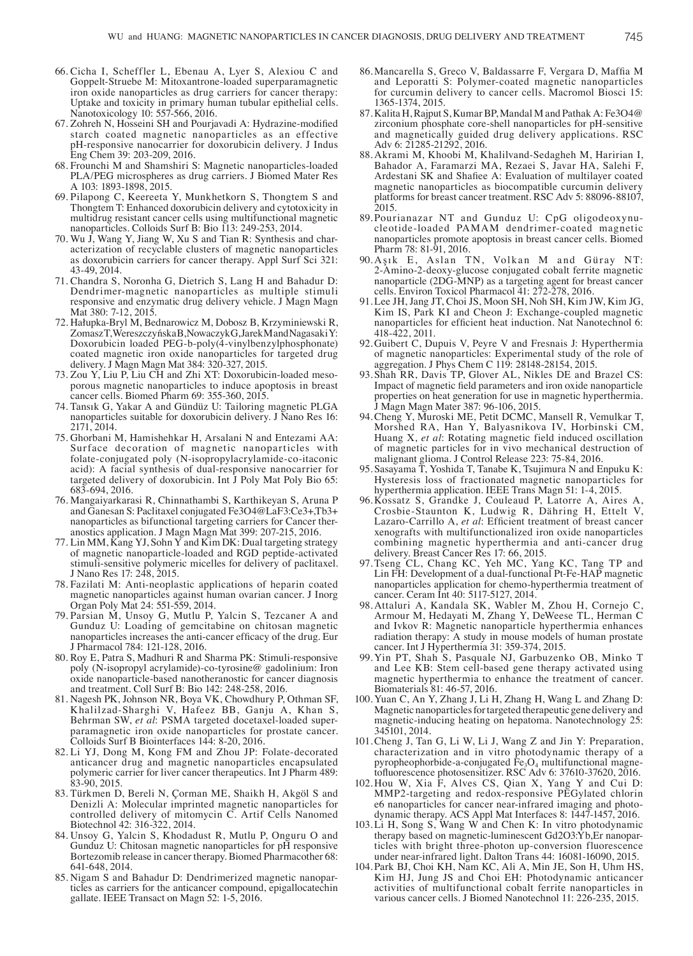- 66. Cicha I, Scheffler L, Ebenau A, Lyer S, Alexiou C and Goppelt‑Struebe M: Mitoxantrone‑loaded superparamagnetic iron oxide nanoparticles as drug carriers for cancer therapy: Uptake and toxicity in primary human tubular epithelial cells. Nanotoxicology 10: 557‑566, 2016.
- 67. Zohreh N, Hosseini SH and Pourjavadi A: Hydrazine‑modified starch coated magnetic nanoparticles as an effective pH‑responsive nanocarrier for doxorubicin delivery. J Indus Eng Chem 39: 203-209, 2016.
- 68. Frounchi M and Shamshiri S: Magnetic nanoparticles‑loaded PLA/PEG microspheres as drug carriers. J Biomed Mater Res A 103: 1893-1898, 2015.
- 69. Pilapong C, Keereeta Y, Munkhetkorn S, Thongtem S and Thongtem T: Enhanced doxorubicin delivery and cytotoxicity in multidrug resistant cancer cells using multifunctional magnetic nanoparticles. Colloids Surf B: Bio 113: 249‑253, 2014.
- 70. Wu J, Wang Y, Jiang W, Xu S and Tian R: Synthesis and characterization of recyclable clusters of magnetic nanoparticles as doxorubicin carriers for cancer therapy. Appl Surf Sci 321: 43‑49, 2014.
- 71. Chandra S, Noronha G, Dietrich S, Lang H and Bahadur D: Dendrimer-magnetic nanoparticles as multiple stimuli responsive and enzymatic drug delivery vehicle. J Magn Magn Mat 380: 7-12, 2015.
- 72. Hałupka‑Bryl M, Bednarowicz M, Dobosz B, Krzyminiewski R, ZomaszT, WereszczyńskaB, NowaczykG, JarekM and NagasakiY: Doxorubicin loaded PEG‑b‑poly(4‑vinylbenzylphosphonate) coated magnetic iron oxide nanoparticles for targeted drug delivery. J Magn Magn Mat 384: 320-327, 2015.
- 73. Zou Y, Liu P, Liu CH and Zhi XT: Doxorubicin‑loaded mesoporous magnetic nanoparticles to induce apoptosis in breast cancer cells. Biomed Pharm 69: 355‑360, 2015.
- 74. Tansık G, Yakar A and Gündüz U: Tailoring magnetic PLGA nanoparticles suitable for doxorubicin delivery. J Nano Res 16: 2171, 2014.
- 75. Ghorbani M, Hamishehkar H, Arsalani N and Entezami AA: Surface decoration of magnetic nanoparticles with folate‑conjugated poly (N‑isopropylacrylamide‑co‑itaconic acid): A facial synthesis of dual‑responsive nanocarrier for targeted delivery of doxorubicin. Int J Poly Mat Poly Bio 65: 683‑694, 2016.
- 76. Mangaiyarkarasi R, Chinnathambi S, Karthikeyan S, Aruna P and Ganesan S: Paclitaxel conjugated Fe3O4@LaF3:Ce3+,Tb3+ nanoparticles as bifunctional targeting carriers for Cancer theranostics application. J Magn Magn Mat 399: 207-215, 2016.
- 77. Lin MM, Kang YJ, Sohn Y and Kim DK: Dual targeting strategy of magnetic nanoparticle‑loaded and RGD peptide‑activated stimuli-sensitive polymeric micelles for delivery of paclitaxel. J Nano Res 17: 248, 2015.
- 78. Fazilati M: Anti‑neoplastic applications of heparin coated magnetic nanoparticles against human ovarian cancer. J Inorg Organ Poly Mat 24: 551‑559, 2014.
- 79. Parsian M, Unsoy G, Mutlu P, Yalcin S, Tezcaner A and Gunduz U: Loading of gemcitabine on chitosan magnetic nanoparticles increases the anti‑cancer efficacy of the drug. Eur J Pharmacol 784: 121-128, 2016.
- 80. Roy E, Patra S, Madhuri R and Sharma PK: Stimuli‑responsive poly (N-isopropyl acrylamide)-co-tyrosine@ gadolinium: Iron oxide nanoparticle‑based nanotheranostic for cancer diagnosis and treatment. Coll Surf B: Bio 142: 248‑258, 2016.
- 81. Nagesh PK, Johnson NR, Boya VK, Chowdhury P, Othman SF, Khalilzad‑Sharghi V, Hafeez BB, Ganju A, Khan S, Behrman SW, et al: PSMA targeted docetaxel-loaded superparamagnetic iron oxide nanoparticles for prostate cancer. Colloids Surf B Biointerfaces 144: 8-20, 2016.
- 82. Li YJ, Dong M, Kong FM and Zhou JP: Folate‑decorated anticancer drug and magnetic nanoparticles encapsulated polymeric carrier for liver cancer therapeutics. Int J Pharm 489:
- 83. Türkmen D, Bereli N, Çorman ME, Shaikh H, Akgöl S and Denizli A: Molecular imprinted magnetic nanoparticles for controlled delivery of mitomycin C. Artif Cells Nanomed
- 84. Unsoy G, Yalcin S, Khodadust R, Mutlu P, Onguru O and Gunduz U: Chitosan magnetic nanoparticles for pH responsive 641-648, 2014.<br>85. Nigam S and Bahadur D: Dendrimerized magnetic nanopar-
- ticles as carriers for the anticancer compound, epigallocatechin gallate. IEEE Transact on Magn 52: 1‑5, 2016.
- 86.Mancarella S, Greco V, Baldassarre F, Vergara D, Maffia M and Leporatti S: Polymer-coated magnetic nanoparticles for curcumin delivery to cancer cells. Macromol Biosci 15: 1365-1374, 2015.
- 87. Kalita H, Rajput S, Kumar BP, Mandal M and Pathak A: Fe3O4@ zirconium phosphate core‑shell nanoparticles for pH‑sensitive and magnetically guided drug delivery applications. RSC Adv 6: 21285-21292, 2016.
- 88.Akrami M, Khoobi M, Khalilvand‑Sedagheh M, Haririan I, Bahador A, Faramarzi MA, Rezaei S, Javar HA, Salehi F, Ardestani SK and Shafiee A: Evaluation of multilayer coated magnetic nanoparticles as biocompatible curcumin delivery platforms for breast cancer treatment. RSC Adv 5: 88096-88107, 2015.
- 89. Pourianazar NT and Gunduz U: CpG oligodeoxynucleotide-loaded PAMAM dendrimer-coated magnetic nanoparticles promote apoptosis in breast cancer cells. Biomed Pharm 78: 81-91, 2016.
- 90.Aşık E, Aslan TN, Volkan M and Güray N T: 2‑Amino‑2‑deoxy‑glucose conjugated cobalt ferrite magnetic nanoparticle (2DG‑MNP) as a targeting agent for breast cancer cells. Environ Toxicol Pharmacol 41: 272-278, 2016.
- 91.Lee JH, Jang JT, Choi JS, Moon SH, Noh SH, Kim JW, Kim JG, Kim IS, Park KI and Cheon J: Exchange-coupled magnetic nanoparticles for efficient heat induction. Nat Nanotechnol 6: 418-422, 2011.
- 92.Guibert C, Dupuis V, Peyre V and Fresnais J: Hyperthermia of magnetic nanoparticles: Experimental study of the role of aggregation. J Phys Chem C 119: 28148‑28154, 2015.
- 93. Shah RR, Davis TP, Glover AL, Nikles DE and Brazel CS: Impact of magnetic field parameters and iron oxide nanoparticle properties on heat generation for use in magnetic hyperthermia. J Magn Magn Mater 387: 96-106, 2015.
- 94.Cheng Y, Muroski ME, Petit DCMC, Mansell R, Vemulkar T, Morshed RA, Han Y, Balyasnikova IV, Horbinski CM, Huang X, *et al*: Rotating magnetic field induced oscillation of magnetic particles for in vivo mechanical destruction of malignant glioma. J Control Release 223: 75-84, 2016.
- 95. Sasayama T, Yoshida T, Tanabe K, Tsujimura N and Enpuku K: Hysteresis loss of fractionated magnetic nanoparticles for hyperthermia application. IEEE Trans Magn 51: 1‑4, 2015.
- 96.Kossatz S, Grandke J, Couleaud P, Latorre A, Aires A, Crosbie‑Staunton K, Ludwig R, Dähring H, Ettelt V, Lazaro‑Carrillo A, *et al*: Efficient treatment of breast cancer xenografts with multifunctionalized iron oxide nanoparticles combining magnetic hyperthermia and anti-cancer drug delivery. Breast Cancer Res 17: 66, 2015.
- 97.Tseng CL, Chang KC, Yeh MC, Yang KC, Tang TP and Lin FH: Development of a dual-functional Pt-Fe-HAP magnetic nanoparticles application for chemo‑hyperthermia treatment of cancer. Ceram Int 40: 5117‑5127, 2014.
- 98.Attaluri A, Kandala SK, Wabler M, Zhou H, Cornejo C, Armour M, Hedayati M, Zhang Y, DeWeese TL, Herman C and Ivkov R: Magnetic nanoparticle hyperthermia enhances radiation therapy: A study in mouse models of human prostate cancer. Int J Hyperthermia 31: 359-374, 2015.
- 99.Yin PT, Shah S, Pasquale NJ, Garbuzenko OB, Minko T and Lee KB: Stem cell-based gene therapy activated using magnetic hyperthermia to enhance the treatment of cancer. Biomaterials 81: 46‑57, 2016.
- 100.Yuan C, An Y, Zhang J, Li H, Zhang H, Wang L and Zhang D: Magnetic nanoparticles for targeted therapeutic gene delivery and magnetic-inducing heating on hepatoma. Nanotechnology 25: 345101, 2014.
- 101.Cheng J, Tan G, Li W, Li J, Wang Z and Jin Y: Preparation, characterization and in vitro photodynamic therapy of a pyropheophorbide-a-conjugated  $Fe<sub>3</sub>O<sub>4</sub>$  multifunctional magnetofluorescence photosensitizer. RSC Adv 6: 37610-37620, 2016.
- 102.Hou W, Xia F, Alves CS, Qian X, Yang Y and Cui D: MMP2‑targeting and redox‑responsive PEGylated chlorin e6 nanoparticles for cancer near‑infrared imaging and photo- dynamic therapy. ACS Appl Mat Interfaces 8: 1447‑1457, 2016.
- 103.Li H, Song S, Wang W and Chen K: In vitro photodynamic therapy based on magnetic-luminescent Gd2O3:Yb,Er nanopar-<br>ticles with bright three-photon up-conversion fluorescence<br>under near-infrared light. Dalton Trans 44: 16081-16090, 2015. under near‑infrared light. Dalton Trans 44: 16081-16090, 2015. 104. Park BJ, Choi KH, Nam KC, Ali A, Min JE, Son H, Uhm HS,
- Kim HJ, Jung JS and Choi EH: Photodynamic anticancer activities of multifunctional cobalt ferrite nanoparticles in various cancer cells. J Biomed Nanotechnol 11: 226-235, 2015.